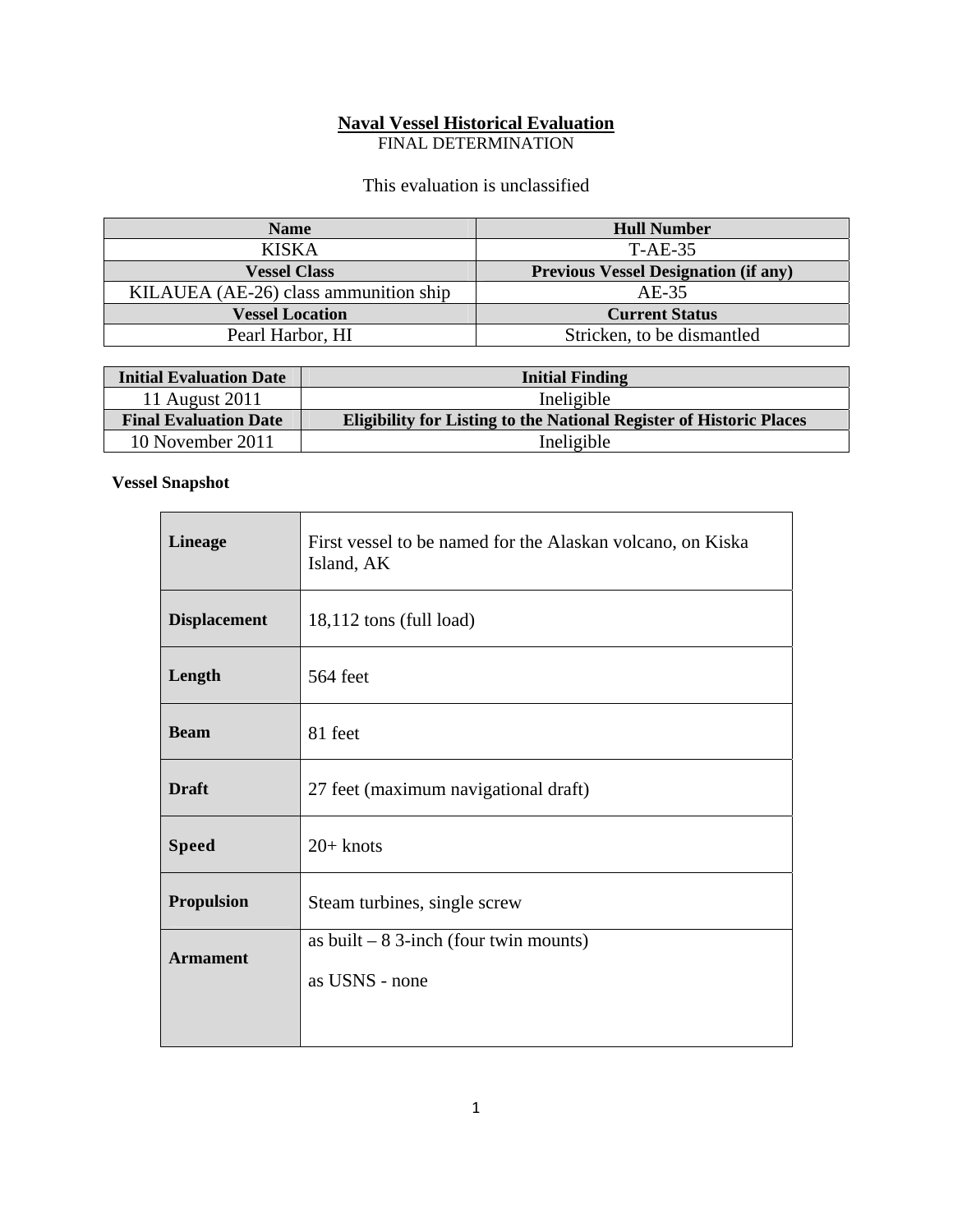# **Naval Vessel Historical Evaluation**

FINAL DETERMINATION

### This evaluation is unclassified

| <b>Name</b>                           | <b>Hull Number</b>                          |
|---------------------------------------|---------------------------------------------|
| <b>KISKA</b>                          | T-AE-35                                     |
| <b>Vessel Class</b>                   | <b>Previous Vessel Designation (if any)</b> |
| KILAUEA (AE-26) class ammunition ship | $AE-35$                                     |
| <b>Vessel Location</b>                | <b>Current Status</b>                       |
| Pearl Harbor, HI                      | Stricken, to be dismantled                  |

| <b>Initial Evaluation Date</b> | <b>Initial Finding</b>                                                     |
|--------------------------------|----------------------------------------------------------------------------|
| 11 August 2011                 | Ineligible                                                                 |
| <b>Final Evaluation Date</b>   | <b>Eligibility for Listing to the National Register of Historic Places</b> |
| 10 November 2011               | Ineligible                                                                 |

## **Vessel Snapshot**

| <b>Lineage</b>      | First vessel to be named for the Alaskan volcano, on Kiska<br>Island, AK |  |  |
|---------------------|--------------------------------------------------------------------------|--|--|
| <b>Displacement</b> | 18,112 tons (full load)                                                  |  |  |
| Length              | 564 feet                                                                 |  |  |
| <b>Beam</b>         | 81 feet                                                                  |  |  |
| <b>Draft</b>        | 27 feet (maximum navigational draft)                                     |  |  |
| <b>Speed</b>        | $20+$ knots                                                              |  |  |
| <b>Propulsion</b>   | Steam turbines, single screw                                             |  |  |
| <b>Armament</b>     | as built $-8$ 3-inch (four twin mounts)                                  |  |  |
|                     | as USNS - none                                                           |  |  |
|                     |                                                                          |  |  |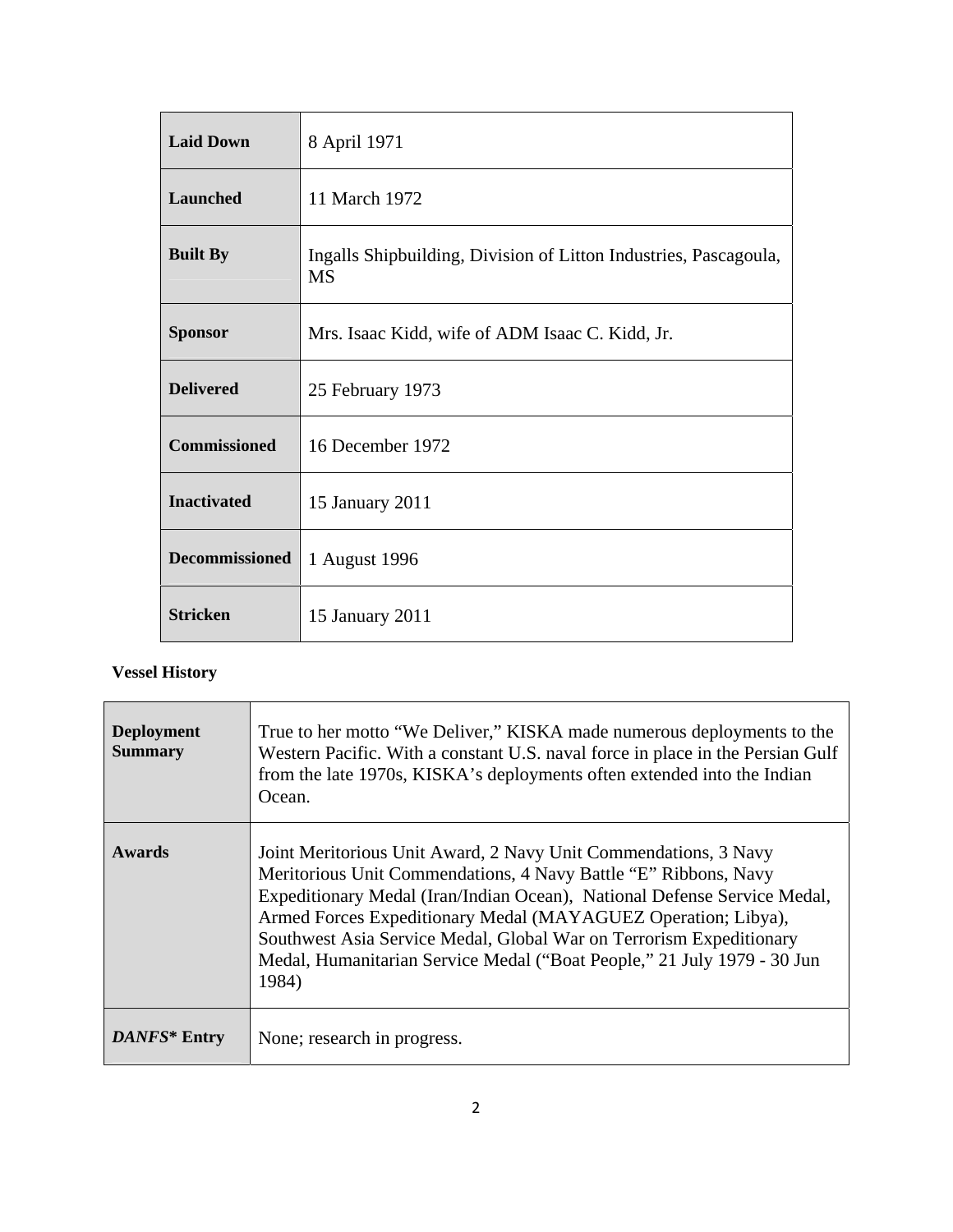| <b>Laid Down</b>      | 8 April 1971                                                                  |
|-----------------------|-------------------------------------------------------------------------------|
| Launched              | 11 March 1972                                                                 |
| <b>Built By</b>       | Ingalls Shipbuilding, Division of Litton Industries, Pascagoula,<br><b>MS</b> |
| <b>Sponsor</b>        | Mrs. Isaac Kidd, wife of ADM Isaac C. Kidd, Jr.                               |
| <b>Delivered</b>      | 25 February 1973                                                              |
| <b>Commissioned</b>   | 16 December 1972                                                              |
| <b>Inactivated</b>    | 15 January 2011                                                               |
| <b>Decommissioned</b> | 1 August 1996                                                                 |
| <b>Stricken</b>       | 15 January 2011                                                               |

## **Vessel History**

| <b>Deployment</b><br><b>Summary</b> | True to her motto "We Deliver," KISKA made numerous deployments to the<br>Western Pacific. With a constant U.S. naval force in place in the Persian Gulf<br>from the late 1970s, KISKA's deployments often extended into the Indian<br>Ocean.                                                                                                                                                                                              |
|-------------------------------------|--------------------------------------------------------------------------------------------------------------------------------------------------------------------------------------------------------------------------------------------------------------------------------------------------------------------------------------------------------------------------------------------------------------------------------------------|
| <b>Awards</b>                       | Joint Meritorious Unit Award, 2 Navy Unit Commendations, 3 Navy<br>Meritorious Unit Commendations, 4 Navy Battle "E" Ribbons, Navy<br>Expeditionary Medal (Iran/Indian Ocean), National Defense Service Medal,<br>Armed Forces Expeditionary Medal (MAYAGUEZ Operation; Libya),<br>Southwest Asia Service Medal, Global War on Terrorism Expeditionary<br>Medal, Humanitarian Service Medal ("Boat People," 21 July 1979 - 30 Jun<br>1984) |
| DANFS* Entry                        | None; research in progress.                                                                                                                                                                                                                                                                                                                                                                                                                |